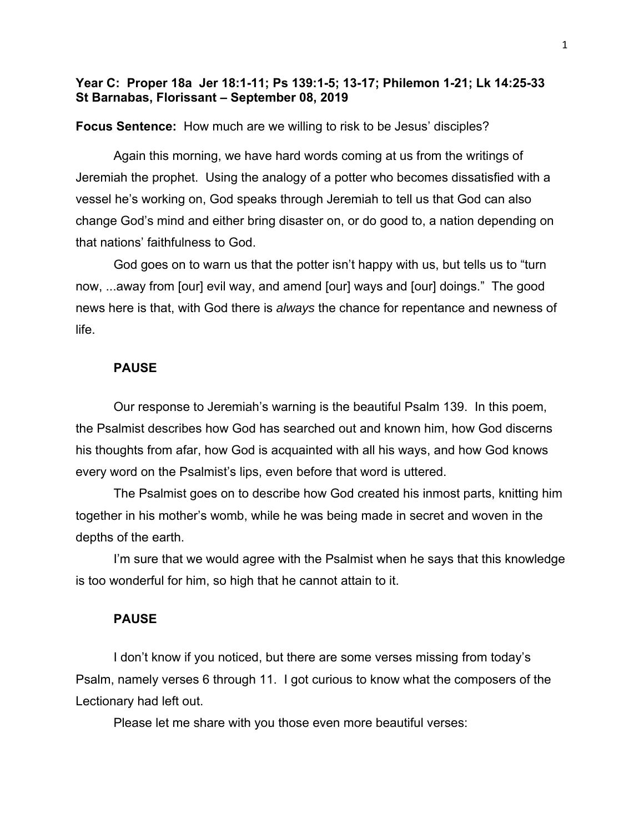# **Year C: Proper 18a Jer 18:1-11; Ps 139:1-5; 13-17; Philemon 1-21; Lk 14:25-33 St Barnabas, Florissant – September 08, 2019**

### **Focus Sentence:** How much are we willing to risk to be Jesus' disciples?

Again this morning, we have hard words coming at us from the writings of Jeremiah the prophet. Using the analogy of a potter who becomes dissatisfied with a vessel he's working on, God speaks through Jeremiah to tell us that God can also change God's mind and either bring disaster on, or do good to, a nation depending on that nations' faithfulness to God.

God goes on to warn us that the potter isn't happy with us, but tells us to "turn now, ...away from [our] evil way, and amend [our] ways and [our] doings." The good news here is that, with God there is *always* the chance for repentance and newness of life.

#### **PAUSE**

Our response to Jeremiah's warning is the beautiful Psalm 139. In this poem, the Psalmist describes how God has searched out and known him, how God discerns his thoughts from afar, how God is acquainted with all his ways, and how God knows every word on the Psalmist's lips, even before that word is uttered.

The Psalmist goes on to describe how God created his inmost parts, knitting him together in his mother's womb, while he was being made in secret and woven in the depths of the earth.

I'm sure that we would agree with the Psalmist when he says that this knowledge is too wonderful for him, so high that he cannot attain to it.

### **PAUSE**

I don't know if you noticed, but there are some verses missing from today's Psalm, namely verses 6 through 11. I got curious to know what the composers of the Lectionary had left out.

Please let me share with you those even more beautiful verses: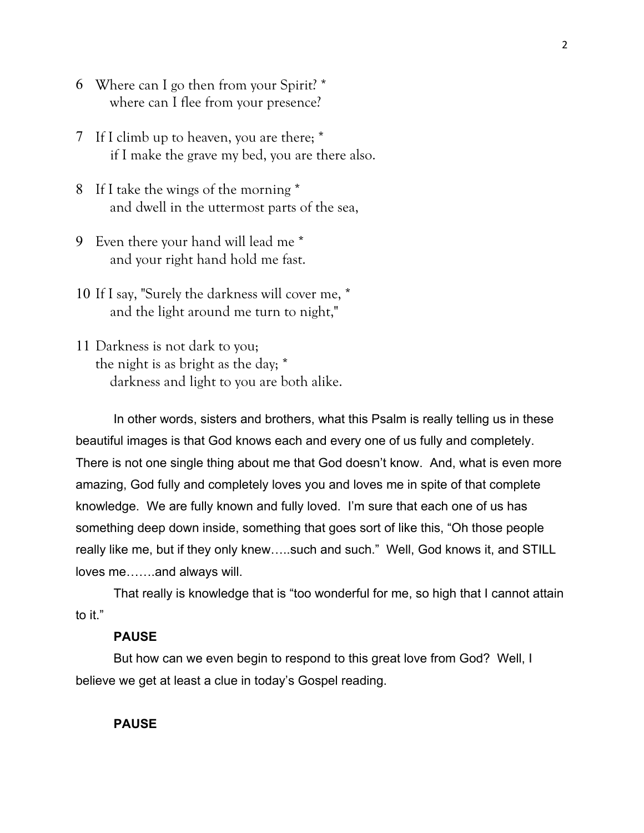- 6 Where can I go then from your Spirit? \* where can I flee from your presence?
- 7 If I climb up to heaven, you are there; \* if I make the grave my bed, you are there also.
- 8 If I take the wings of the morning \* and dwell in the uttermost parts of the sea,
- 9 Even there your hand will lead me \* and your right hand hold me fast.
- 10 If I say, "Surely the darkness will cover me, \* and the light around me turn to night,"
- 11 Darkness is not dark to you; the night is as bright as the day; \* darkness and light to you are both alike.

 In other words, sisters and brothers, what this Psalm is really telling us in these beautiful images is that God knows each and every one of us fully and completely. There is not one single thing about me that God doesn't know. And, what is even more amazing, God fully and completely loves you and loves me in spite of that complete knowledge. We are fully known and fully loved. I'm sure that each one of us has something deep down inside, something that goes sort of like this, "Oh those people really like me, but if they only knew…..such and such." Well, God knows it, and STILL loves me…….and always will.

 That really is knowledge that is "too wonderful for me, so high that I cannot attain to it."

## **PAUSE**

But how can we even begin to respond to this great love from God? Well, I believe we get at least a clue in today's Gospel reading.

### **PAUSE**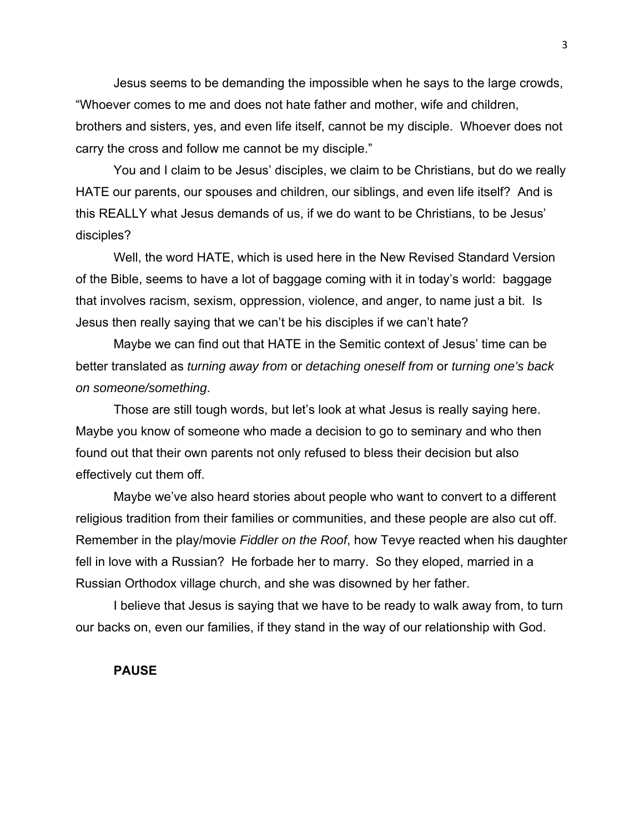Jesus seems to be demanding the impossible when he says to the large crowds, "Whoever comes to me and does not hate father and mother, wife and children, brothers and sisters, yes, and even life itself, cannot be my disciple. Whoever does not carry the cross and follow me cannot be my disciple."

You and I claim to be Jesus' disciples, we claim to be Christians, but do we really HATE our parents, our spouses and children, our siblings, and even life itself? And is this REALLY what Jesus demands of us, if we do want to be Christians, to be Jesus' disciples?

Well, the word HATE, which is used here in the New Revised Standard Version of the Bible, seems to have a lot of baggage coming with it in today's world: baggage that involves racism, sexism, oppression, violence, and anger, to name just a bit. Is Jesus then really saying that we can't be his disciples if we can't hate?

Maybe we can find out that HATE in the Semitic context of Jesus' time can be better translated as *turning away from* or *detaching oneself from* or *turning one's back on someone/something*.

Those are still tough words, but let's look at what Jesus is really saying here. Maybe you know of someone who made a decision to go to seminary and who then found out that their own parents not only refused to bless their decision but also effectively cut them off.

Maybe we've also heard stories about people who want to convert to a different religious tradition from their families or communities, and these people are also cut off. Remember in the play/movie *Fiddler on the Roof*, how Tevye reacted when his daughter fell in love with a Russian? He forbade her to marry. So they eloped, married in a Russian Orthodox village church, and she was disowned by her father.

I believe that Jesus is saying that we have to be ready to walk away from, to turn our backs on, even our families, if they stand in the way of our relationship with God.

### **PAUSE**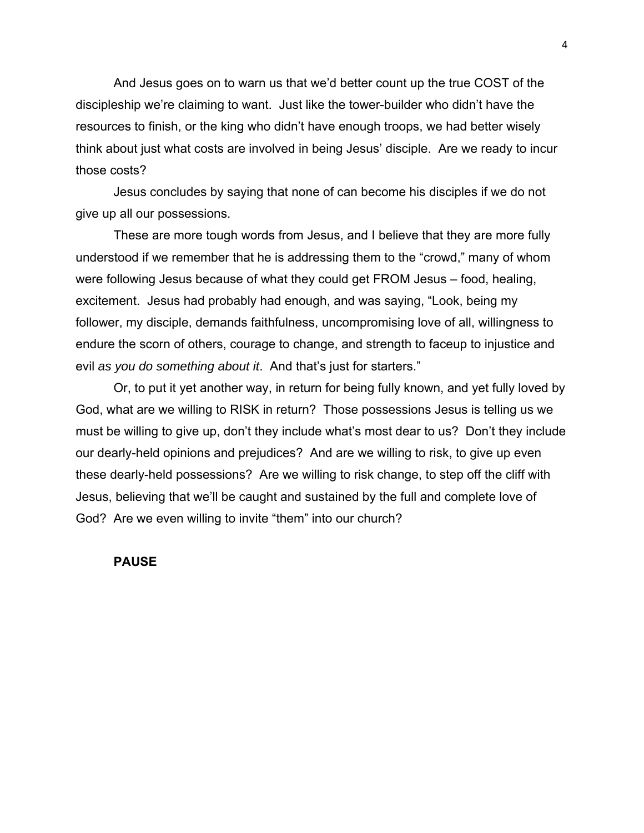And Jesus goes on to warn us that we'd better count up the true COST of the discipleship we're claiming to want. Just like the tower-builder who didn't have the resources to finish, or the king who didn't have enough troops, we had better wisely think about just what costs are involved in being Jesus' disciple. Are we ready to incur those costs?

Jesus concludes by saying that none of can become his disciples if we do not give up all our possessions.

These are more tough words from Jesus, and I believe that they are more fully understood if we remember that he is addressing them to the "crowd," many of whom were following Jesus because of what they could get FROM Jesus – food, healing, excitement. Jesus had probably had enough, and was saying, "Look, being my follower, my disciple, demands faithfulness, uncompromising love of all, willingness to endure the scorn of others, courage to change, and strength to faceup to injustice and evil *as you do something about it*. And that's just for starters."

Or, to put it yet another way, in return for being fully known, and yet fully loved by God, what are we willing to RISK in return? Those possessions Jesus is telling us we must be willing to give up, don't they include what's most dear to us? Don't they include our dearly-held opinions and prejudices? And are we willing to risk, to give up even these dearly-held possessions? Are we willing to risk change, to step off the cliff with Jesus, believing that we'll be caught and sustained by the full and complete love of God? Are we even willing to invite "them" into our church?

## **PAUSE**